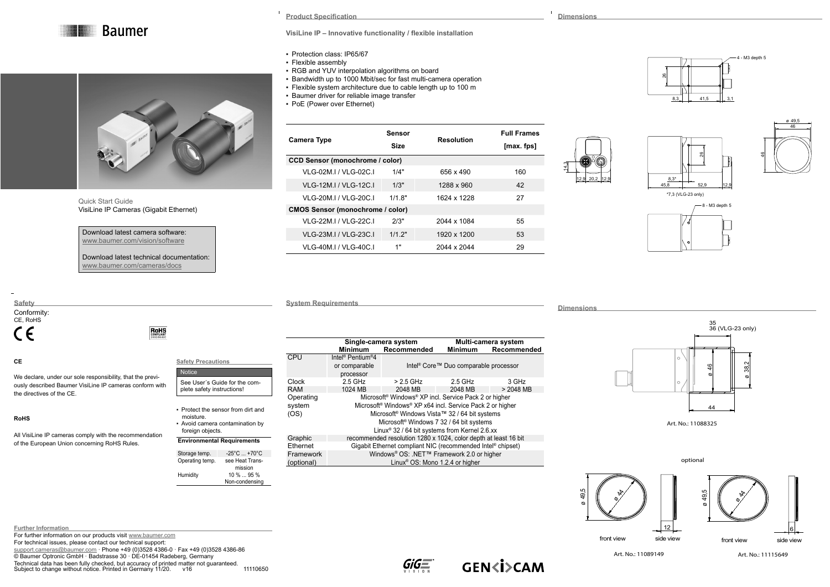**Baumer** 



Quick Start Guide VisiLine IP Cameras (Gigabit Ethernet)

Download latest camera software: [www.baumer.com/vision/software](http://www.baumer.com/vision/software)

Download latest technical documentation: [www.baumer.com/cameras/docs](http://www.baumer.com/cameras/docs)

**RoHS** 

- Protection class: IP65/67
- Flexible assembly
- RGB and YUV interpolation algorithms on board
- Bandwidth up to 1000 Mbit/sec for fast multi-camera operation
- Flexible system architecture due to cable length up to 100 m
- **Baumer driver for reliable image transfer**
- PoE (Power over Ethernet)

| Camera Type                             | Sensor<br><b>Size</b> | Resolution  | <b>Full Frames</b><br>[max.fps] |  |  |  |
|-----------------------------------------|-----------------------|-------------|---------------------------------|--|--|--|
| <b>CCD Sensor (monochrome / color)</b>  |                       |             |                                 |  |  |  |
| VI G-02M I / VI G-02C I                 | 1/4"                  | 656 x 490   | 160                             |  |  |  |
| VI G-12M I / VI G-12C I                 | 1/3"                  | 1288 x 960  | 42                              |  |  |  |
| VLG-20M.I / VLG-20C.I                   | 1/18"                 | 1624 x 1228 | 27                              |  |  |  |
| <b>CMOS Sensor (monochrome / color)</b> |                       |             |                                 |  |  |  |
| VI G-22M I / VI G-22C I                 | 2/3"                  | 2044 x 1084 | 55                              |  |  |  |
| VLG-23M.I / VLG-23C.I                   | 1/12"                 | 1920 x 1200 | 53                              |  |  |  |
| VLG-40M.I / VLG-40C.I                   | 1"                    | 2044 x 2044 | 29                              |  |  |  |

## $41,5$   $3,1$  $\approx$ 8,3



4 - M3 depth 5



45,8 12,9 12,9

8,3\*

 $\approx$ 

**System Requirements** 

**Dimensions**

12,9 20,2 12,9

14,3

**Dimensions**

 $\mathbf{I}$ 

# $Art. No.: 11088325$ 38,2 ø35 36 (VLG-23 only)

 $\mathfrak{g}$ ø $\hat{\mathbf{x}}$ ø12 optional front view side view 49,5 ø $\frac{1}{2}$ ø6 front view side view

### **RoHS**

the directives of the CE.

**CE**

**Safety** Conformity: CE, RoHS

 $\epsilon$ 

All VisiLine IP cameras comply with the recommendation of the European Union concerning RoHS Rules.

We declare, under our sole responsibility, that the previously described Baumer VisiLine IP cameras conform with

| <b>Safety Precautions</b>                                                                              | 1. PU                       |
|--------------------------------------------------------------------------------------------------------|-----------------------------|
| <b>Notice</b>                                                                                          |                             |
| See User's Guide for the com-<br>plete safety instructions!                                            | Clock<br>RAM                |
| • Protect the sensor from dirt and<br>moisture.<br>- Avoid camera contamination by<br>foreign objects. | Operating<br>system<br>(OS) |
| <b>Environmental Requirements</b>                                                                      | Graphic                     |

| Storage temp.   | $-25^{\circ}$ C $+70^{\circ}$ C |
|-----------------|---------------------------------|
| Operating temp. | see Heat Trans-                 |
|                 | mission                         |
| Humidity        | $10\%95\%$                      |
|                 | Non-condensing                  |

|            | Single-camera system                                            |                                                                                                                                                                                | Multi-camera system                               |             |  |
|------------|-----------------------------------------------------------------|--------------------------------------------------------------------------------------------------------------------------------------------------------------------------------|---------------------------------------------------|-------------|--|
|            | <b>Minimum</b>                                                  | Recommended                                                                                                                                                                    | <b>Minimum</b>                                    | Recommended |  |
| CPU        | Intel <sup>®</sup> Pentium <sup>®</sup> 4                       |                                                                                                                                                                                |                                                   |             |  |
|            | or comparable                                                   |                                                                                                                                                                                | Intel <sup>®</sup> Core™ Duo comparable processor |             |  |
|            | processor                                                       |                                                                                                                                                                                |                                                   |             |  |
| Clock      | 2.5 GHz                                                         | $> 2.5$ GHz                                                                                                                                                                    | $2.5$ GHz                                         | 3 GHz       |  |
| RAM        | 1024 MB                                                         | 2048 MB                                                                                                                                                                        | 2048 MB                                           | $> 2048$ MB |  |
| Operating  |                                                                 | Microsoft <sup>®</sup> Windows <sup>®</sup> XP incl. Service Pack 2 or higher                                                                                                  |                                                   |             |  |
| system     |                                                                 | Microsoft <sup>®</sup> Windows <sup>®</sup> XP x64 incl. Service Pack 2 or higher                                                                                              |                                                   |             |  |
| (OS)       |                                                                 | Microsoft <sup>®</sup> Windows Vista™ 32 / 64 bit systems<br>Microsoft <sup>®</sup> Windows 7 32 / 64 bit systems<br>Linux <sup>®</sup> 32 / 64 bit systems from Kernel 2.6.xx |                                                   |             |  |
|            |                                                                 |                                                                                                                                                                                |                                                   |             |  |
|            |                                                                 |                                                                                                                                                                                |                                                   |             |  |
| Graphic    | recommended resolution 1280 x 1024, color depth at least 16 bit |                                                                                                                                                                                |                                                   |             |  |
| Ethernet   | Gigabit Ethernet compliant NIC (recommended Intel® chipset)     |                                                                                                                                                                                |                                                   |             |  |
| Framework  | Windows <sup>®</sup> OS: .NET™ Framework 2.0 or higher          |                                                                                                                                                                                |                                                   |             |  |
| (optional) | Linux <sup>®</sup> OS: Mono 1.2.4 or higher                     |                                                                                                                                                                                |                                                   |             |  |

**Further Information** For further information on our products visit [www.baumer.com](http://www.baumer.com) For technical issues, please contact our technical support:

[support.cameras@baumer.com](mailto:support.cameras%40baumer.com?subject=) · Phone +49 (0)3528 4386-0 · Fax +49 (0)3528 4386-86 © Baumer Optronic GmbH · Badstrasse 30 · DE-01454 Radeberg, Germany Technical data has been fully checked, but accuracy of printed matter not guaranteed. Subject to change without notice. Printed in Germany 11/20. v16 11110650





Art. No.: 11089149 Art. No.: 11115649